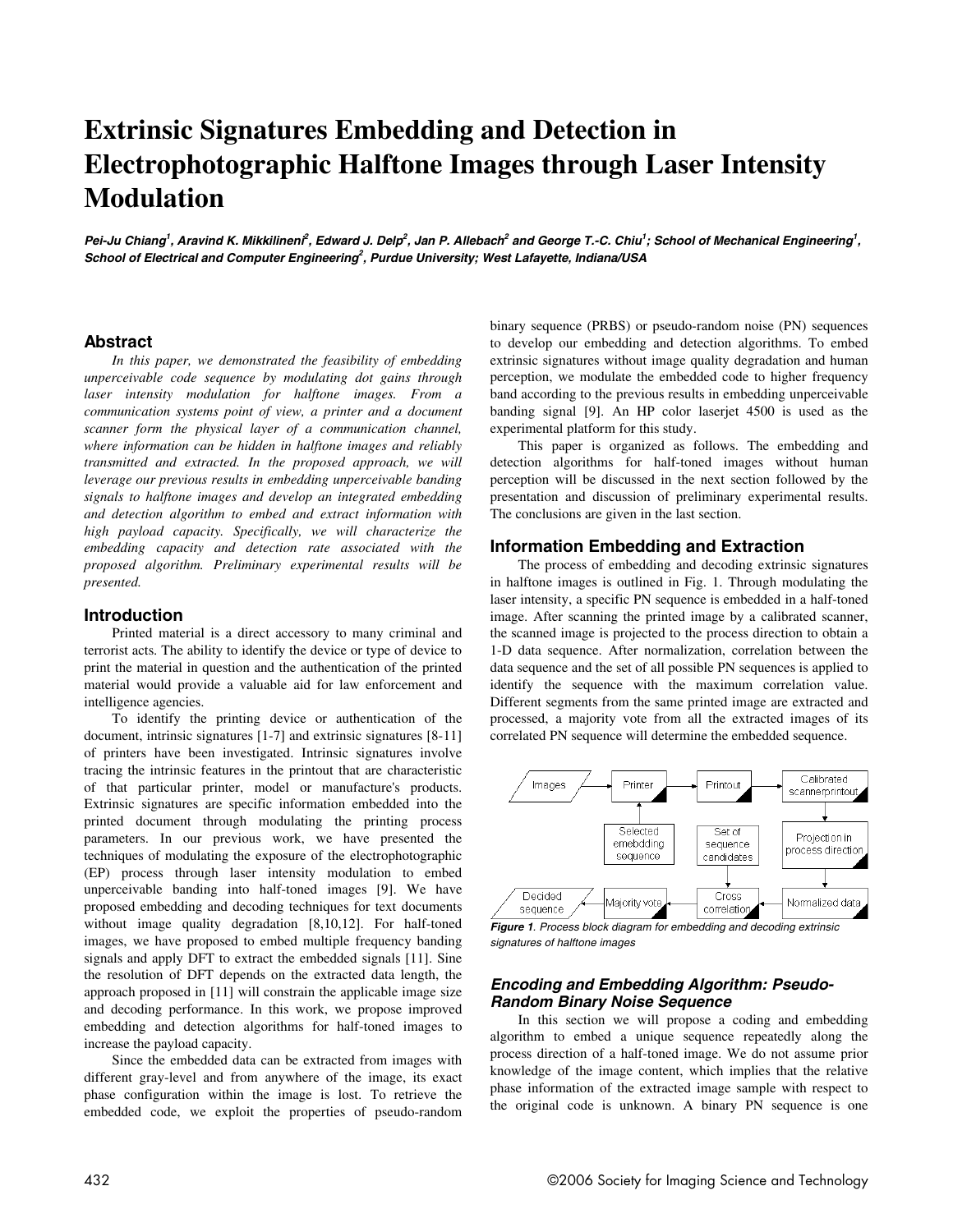# **Extrinsic Signatures Embedding and Detection in Electrophotographic Halftone Images through Laser Intensity Modulation**

Pei-Ju Chiang<sup>1</sup>, Aravind K. Mikkilineni<sup>2</sup>, Edward J. Delp<sup>2</sup>, Jan P. Allebach<sup>2</sup> and George T.-C. Chiu<sup>1</sup>; School of Mechanical Engineering<sup>1</sup>, **School of Electrical and Computer Engineering<sup>2</sup> , Purdue University; West Lafayette, Indiana/USA** 

# **Abstract**

*In this paper, we demonstrated the feasibility of embedding unperceivable code sequence by modulating dot gains through laser intensity modulation for halftone images. From a communication systems point of view, a printer and a document scanner form the physical layer of a communication channel, where information can be hidden in halftone images and reliably transmitted and extracted. In the proposed approach, we will leverage our previous results in embedding unperceivable banding signals to halftone images and develop an integrated embedding and detection algorithm to embed and extract information with high payload capacity. Specifically, we will characterize the embedding capacity and detection rate associated with the proposed algorithm. Preliminary experimental results will be presented.* 

#### **Introduction**

Printed material is a direct accessory to many criminal and terrorist acts. The ability to identify the device or type of device to print the material in question and the authentication of the printed material would provide a valuable aid for law enforcement and intelligence agencies.

To identify the printing device or authentication of the document, intrinsic signatures [1-7] and extrinsic signatures [8-11] of printers have been investigated. Intrinsic signatures involve tracing the intrinsic features in the printout that are characteristic of that particular printer, model or manufacture's products. Extrinsic signatures are specific information embedded into the printed document through modulating the printing process parameters. In our previous work, we have presented the techniques of modulating the exposure of the electrophotographic (EP) process through laser intensity modulation to embed unperceivable banding into half-toned images [9]. We have proposed embedding and decoding techniques for text documents without image quality degradation [8,10,12]. For half-toned images, we have proposed to embed multiple frequency banding signals and apply DFT to extract the embedded signals [11]. Sine the resolution of DFT depends on the extracted data length, the approach proposed in [11] will constrain the applicable image size and decoding performance. In this work, we propose improved embedding and detection algorithms for half-toned images to increase the payload capacity.

Since the embedded data can be extracted from images with different gray-level and from anywhere of the image, its exact phase configuration within the image is lost. To retrieve the embedded code, we exploit the properties of pseudo-random binary sequence (PRBS) or pseudo-random noise (PN) sequences to develop our embedding and detection algorithms. To embed extrinsic signatures without image quality degradation and human perception, we modulate the embedded code to higher frequency band according to the previous results in embedding unperceivable banding signal [9]. An HP color laserjet 4500 is used as the experimental platform for this study.

This paper is organized as follows. The embedding and detection algorithms for half-toned images without human perception will be discussed in the next section followed by the presentation and discussion of preliminary experimental results. The conclusions are given in the last section.

## **Information Embedding and Extraction**

The process of embedding and decoding extrinsic signatures in halftone images is outlined in Fig. 1. Through modulating the laser intensity, a specific PN sequence is embedded in a half-toned image. After scanning the printed image by a calibrated scanner, the scanned image is projected to the process direction to obtain a 1-D data sequence. After normalization, correlation between the data sequence and the set of all possible PN sequences is applied to identify the sequence with the maximum correlation value. Different segments from the same printed image are extracted and processed, a majority vote from all the extracted images of its correlated PN sequence will determine the embedded sequence.



**Figure 1**. Process block diagram for embedding and decoding extrinsic signatures of halftone images

# **Encoding and Embedding Algorithm: Pseudo-Random Binary Noise Sequence**

In this section we will propose a coding and embedding algorithm to embed a unique sequence repeatedly along the process direction of a half-toned image. We do not assume prior knowledge of the image content, which implies that the relative phase information of the extracted image sample with respect to the original code is unknown. A binary PN sequence is one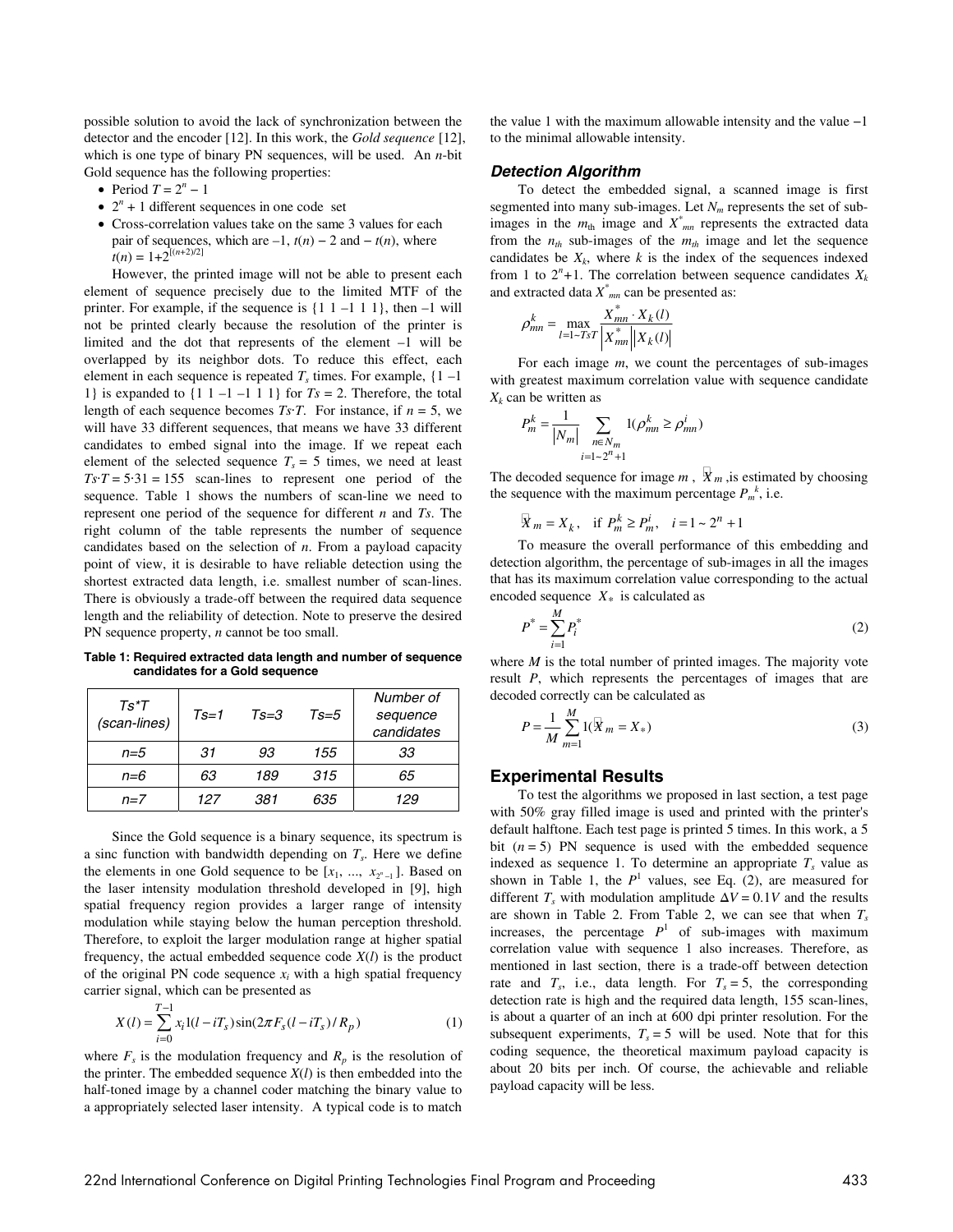possible solution to avoid the lack of synchronization between the detector and the encoder [12]. In this work, the *Gold sequence* [12], which is one type of binary PN sequences, will be used. An *n*-bit Gold sequence has the following properties:

- Period  $T = 2^n 1$
- $\bullet$  2<sup>n</sup> + 1 different sequences in one code set
- Cross-correlation values take on the same 3 values for each pair of sequences, which are  $-1$ ,  $t(n) - 2$  and  $-t(n)$ , where  $t(n) = 1+2^{[(n+2)/2]}$

However, the printed image will not be able to present each element of sequence precisely due to the limited MTF of the printer. For example, if the sequence is  $\{1 \ 1 -1 \ 1 \}$ , then  $-1$  will not be printed clearly because the resolution of the printer is limited and the dot that represents of the element –1 will be overlapped by its neighbor dots. To reduce this effect, each element in each sequence is repeated  $T_s$  times. For example,  $\{1 - 1\}$ 1} is expanded to  $\{1 \mid 1 -1 -1 1 1\}$  for  $Ts = 2$ . Therefore, the total length of each sequence becomes *Ts*⋅*T*. For instance, if  $n = 5$ , we will have 33 different sequences, that means we have 33 different candidates to embed signal into the image. If we repeat each element of the selected sequence  $T_s = 5$  times, we need at least  $Ts·T = 5·31 = 155$  scan-lines to represent one period of the sequence. Table 1 shows the numbers of scan-line we need to represent one period of the sequence for different *n* and *Ts*. The right column of the table represents the number of sequence candidates based on the selection of *n*. From a payload capacity point of view, it is desirable to have reliable detection using the shortest extracted data length, i.e. smallest number of scan-lines. There is obviously a trade-off between the required data sequence length and the reliability of detection. Note to preserve the desired PN sequence property, *n* cannot be too small.

**Table 1: Required extracted data length and number of sequence candidates for a Gold sequence** 

| $Ts*T$<br>(scan-lines) | $Ts=1$ | $Ts = 3$ | $Ts=5$ | Number of<br>sequence<br>candidates |
|------------------------|--------|----------|--------|-------------------------------------|
| $n=5$                  | 31.    | 93       | 155    | 33                                  |
| $n=6$                  | 63     | 189      | 315    | 65                                  |
| $n=7$                  | 127    | 381.     | 635    | 129                                 |

Since the Gold sequence is a binary sequence, its spectrum is a sinc function with bandwidth depending on  $T_s$ . Here we define the elements in one Gold sequence to be  $[x_1, ..., x_{2^n-1}]$ . Based on the laser intensity modulation threshold developed in [9], high spatial frequency region provides a larger range of intensity modulation while staying below the human perception threshold. Therefore, to exploit the larger modulation range at higher spatial frequency, the actual embedded sequence code  $X(l)$  is the product of the original PN code sequence  $x_i$  with a high spatial frequency carrier signal, which can be presented as

$$
X(l) = \sum_{i=0}^{T-1} x_i l(l - iT_s) \sin(2\pi F_s (l - iT_s) / R_p)
$$
 (1)

where  $F_s$  is the modulation frequency and  $R_p$  is the resolution of the printer. The embedded sequence  $X(l)$  is then embedded into the half-toned image by a channel coder matching the binary value to a appropriately selected laser intensity. A typical code is to match the value 1 with the maximum allowable intensity and the value −1 to the minimal allowable intensity.

#### **Detection Algorithm**

To detect the embedded signal, a scanned image is first segmented into many sub-images. Let  $N_m$  represents the set of subimages in the  $m_{\text{th}}$  image and  $X^*_{mn}$  represents the extracted data from the  $n_{th}$  sub-images of the  $m_{th}$  image and let the sequence candidates be  $X_k$ , where  $k$  is the index of the sequences indexed from 1 to  $2^n + 1$ . The correlation between sequence candidates  $X_k$ and extracted data *X\* mn* can be presented as:

$$
\rho_{mn}^{k} = \max_{l=1 \sim TsT} \frac{X_{mn}^{*} \cdot X_{k}(l)}{|X_{mn}^{*}||X_{k}(l)|}
$$

For each image *m*, we count the percentages of sub-images with greatest maximum correlation value with sequence candidate  $X_k$  can be written as

$$
P_m^k = \frac{1}{|N_m|} \sum_{\substack{n \in N_m \\ i = 1 \sim 2^n + 1}} 1(\rho_{mn}^k \ge \rho_{mn}^i)
$$

The decoded sequence for image  $m$ ,  $X_m$ , is estimated by choosing the sequence with the maximum percentage  $P_m^k$ , i.e.

$$
X_m = X_k
$$
, if  $P_m^k \ge P_m^i$ ,  $i = 1 \sim 2^n + 1$ 

To measure the overall performance of this embedding and detection algorithm, the percentage of sub-images in all the images that has its maximum correlation value corresponding to the actual encoded sequence  $X_*$  is calculated as

$$
P^* = \sum_{i=1}^{M} P_i^* \tag{2}
$$

where *M* is the total number of printed images. The majority vote result *P*, which represents the percentages of images that are decoded correctly can be calculated as

$$
P = \frac{1}{M} \sum_{m=1}^{M} 1(X_m = X_*)
$$
\n(3)

#### **Experimental Results**

To test the algorithms we proposed in last section, a test page with 50% gray filled image is used and printed with the printer's default halftone. Each test page is printed 5 times. In this work, a 5 bit  $(n = 5)$  PN sequence is used with the embedded sequence indexed as sequence 1. To determine an appropriate  $T_s$  value as shown in Table 1, the  $P<sup>1</sup>$  values, see Eq. (2), are measured for different  $T_s$  with modulation amplitude  $\Delta V = 0.1V$  and the results are shown in Table 2. From Table 2, we can see that when  $T_s$ increases, the percentage  $P<sup>1</sup>$  of sub-images with maximum correlation value with sequence 1 also increases. Therefore, as mentioned in last section, there is a trade-off between detection rate and  $T_s$ , i.e., data length. For  $T_s = 5$ , the corresponding detection rate is high and the required data length, 155 scan-lines, is about a quarter of an inch at 600 dpi printer resolution. For the subsequent experiments,  $T_s = 5$  will be used. Note that for this coding sequence, the theoretical maximum payload capacity is about 20 bits per inch. Of course, the achievable and reliable payload capacity will be less.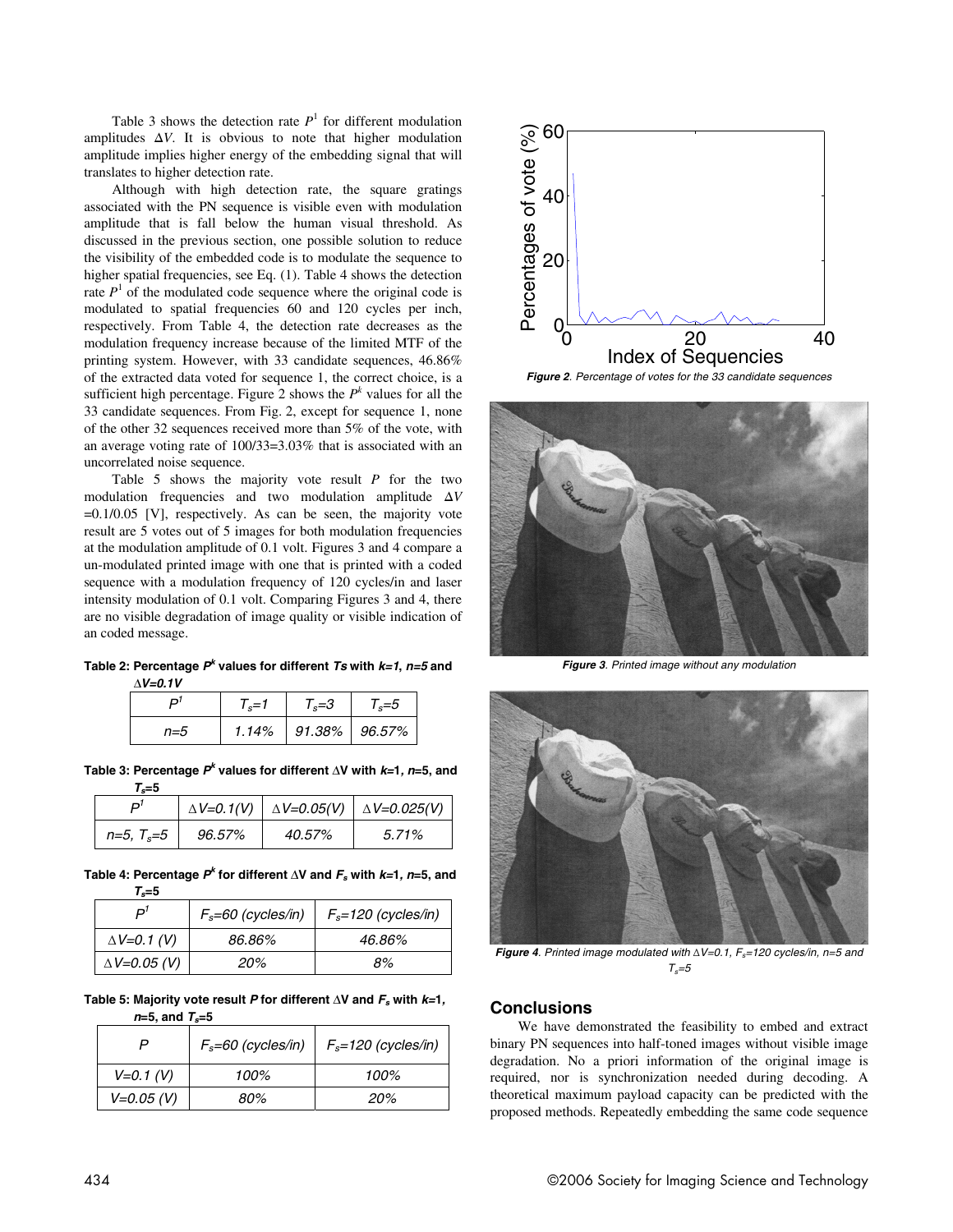Table 3 shows the detection rate  $P<sup>1</sup>$  for different modulation amplitudes ∆*V*. It is obvious to note that higher modulation amplitude implies higher energy of the embedding signal that will translates to higher detection rate.

Although with high detection rate, the square gratings associated with the PN sequence is visible even with modulation amplitude that is fall below the human visual threshold. As discussed in the previous section, one possible solution to reduce the visibility of the embedded code is to modulate the sequence to higher spatial frequencies, see Eq. (1). Table 4 shows the detection rate  $P<sup>1</sup>$  of the modulated code sequence where the original code is modulated to spatial frequencies 60 and 120 cycles per inch, respectively. From Table 4, the detection rate decreases as the modulation frequency increase because of the limited MTF of the printing system. However, with 33 candidate sequences, 46.86% of the extracted data voted for sequence 1, the correct choice, is a sufficient high percentage. Figure 2 shows the  $P<sup>k</sup>$  values for all the 33 candidate sequences. From Fig. 2, except for sequence 1, none of the other 32 sequences received more than 5% of the vote, with an average voting rate of 100/33=3.03% that is associated with an uncorrelated noise sequence.

Table 5 shows the majority vote result *P* for the two modulation frequencies and two modulation amplitude ∆*V*  $=0.1/0.05$  [V], respectively. As can be seen, the majority vote result are 5 votes out of 5 images for both modulation frequencies at the modulation amplitude of 0.1 volt. Figures 3 and 4 compare a un-modulated printed image with one that is printed with a coded sequence with a modulation frequency of 120 cycles/in and laser intensity modulation of 0.1 volt. Comparing Figures 3 and 4, there are no visible degradation of image quality or visible indication of an coded message.

**Table 2: Percentage P<sup>k</sup> values for different Ts with k=1, n=5 and**  ∆**V=0.1V**

|     | $1 - 7$ | $T_c = 3$     | 5=، ا |
|-----|---------|---------------|-------|
| n=5 | 1.14%   | 91.38% 96.57% |       |

**Table 3: Percentage P<sup>k</sup> values for different** ∆**V with k=1, <sup>n</sup>=5, and** 

 $T = 5$ 

| .            |        |        |                                                                |
|--------------|--------|--------|----------------------------------------------------------------|
|              |        |        | $\Delta V = 0.1(V)$ $\Delta V = 0.05(V)$ $\Delta V = 0.025(V)$ |
| $n=5, T_s=5$ | 96.57% | 40.57% | 5.71%                                                          |

**Table 4: Percentage P<sup>k</sup> for different** ∆**V and F<sup>s</sup> with k=1, <sup>n</sup>=5, and**   $T = 5$ 

| 1 e v                 |                        |                         |
|-----------------------|------------------------|-------------------------|
| ים                    | $F_s = 60$ (cycles/in) | $F_s = 120$ (cycles/in) |
| $\Delta V = 0.1$ (V)  | 86.86%                 | 46.86%                  |
| $\Delta V = 0.05$ (V) | 20%                    | 8%                      |

Table 5: Majority vote result *P* for different ∆V and  $F_s$  with  $k=1$ , **<sup>n</sup>=5, and Ts=5** 

|              | $F_s = 60$ (cycles/in) | $F_s = 120$ (cycles/in) |
|--------------|------------------------|-------------------------|
| $V=0.1$ (V)  | 100%                   | 100%                    |
| $V=0.05 (V)$ | 80%                    | 20%                     |



**Figure 2**. Percentage of votes for the 33 candidate sequences



**Figure 3**. Printed image without any modulation



**Figure 4.** Printed image modulated with  $\Delta V = 0.1$ ,  $F_s = 120$  cycles/in, n=5 and  $T_s = 5$ 

#### **Conclusions**

We have demonstrated the feasibility to embed and extract binary PN sequences into half-toned images without visible image degradation. No a priori information of the original image is required, nor is synchronization needed during decoding. A theoretical maximum payload capacity can be predicted with the proposed methods. Repeatedly embedding the same code sequence